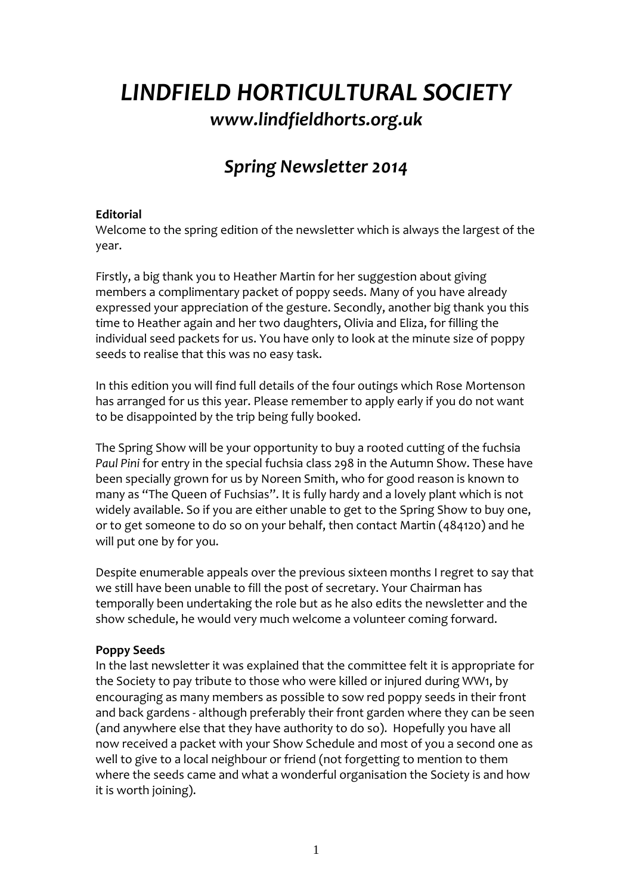# *LINDFIELD HORTICULTURAL SOCIETY www.lindfieldhorts.org.uk*

## *Spring Newsletter 2014*

### **Editorial**

Welcome to the spring edition of the newsletter which is always the largest of the year.

Firstly, a big thank you to Heather Martin for her suggestion about giving members a complimentary packet of poppy seeds. Many of you have already expressed your appreciation of the gesture. Secondly, another big thank you this time to Heather again and her two daughters, Olivia and Eliza, for filling the individual seed packets for us. You have only to look at the minute size of poppy seeds to realise that this was no easy task.

In this edition you will find full details of the four outings which Rose Mortenson has arranged for us this year. Please remember to apply early if you do not want to be disappointed by the trip being fully booked.

The Spring Show will be your opportunity to buy a rooted cutting of the fuchsia *Paul Pini* for entry in the special fuchsia class 298 in the Autumn Show. These have been specially grown for us by Noreen Smith, who for good reason is known to many as "The Queen of Fuchsias". It is fully hardy and a lovely plant which is not widely available. So if you are either unable to get to the Spring Show to buy one, or to get someone to do so on your behalf, then contact Martin (484120) and he will put one by for you.

Despite enumerable appeals over the previous sixteen months I regret to say that we still have been unable to fill the post of secretary. Your Chairman has temporally been undertaking the role but as he also edits the newsletter and the show schedule, he would very much welcome a volunteer coming forward.

### **Poppy Seeds**

In the last newsletter it was explained that the committee felt it is appropriate for the Society to pay tribute to those who were killed or injured during WW1, by encouraging as many members as possible to sow red poppy seeds in their front and back gardens - although preferably their front garden where they can be seen (and anywhere else that they have authority to do so). Hopefully you have all now received a packet with your Show Schedule and most of you a second one as well to give to a local neighbour or friend (not forgetting to mention to them where the seeds came and what a wonderful organisation the Society is and how it is worth joining).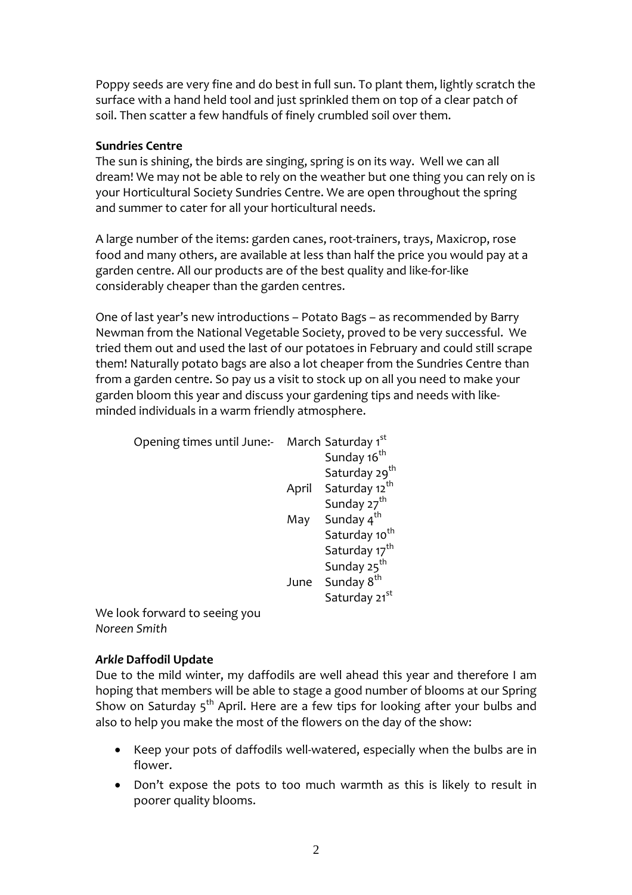Poppy seeds are very fine and do best in full sun. To plant them, lightly scratch the surface with a hand held tool and just sprinkled them on top of a clear patch of soil. Then scatter a few handfuls of finely crumbled soil over them.

### **Sundries Centre**

The sun is shining, the birds are singing, spring is on its way. Well we can all dream! We may not be able to rely on the weather but one thing you can rely on is your Horticultural Society Sundries Centre. We are open throughout the spring and summer to cater for all your horticultural needs.

A large number of the items: garden canes, root‐trainers, trays, Maxicrop, rose food and many others, are available at less than half the price you would pay at a garden centre. All our products are of the best quality and like‐for‐like considerably cheaper than the garden centres.

One of last year's new introductions – Potato Bags – as recommended by Barry Newman from the National Vegetable Society, proved to be very successful. We tried them out and used the last of our potatoes in February and could still scrape them! Naturally potato bags are also a lot cheaper from the Sundries Centre than from a garden centre. So pay us a visit to stock up on all you need to make your garden bloom this year and discuss your gardening tips and needs with like‐ minded individuals in a warm friendly atmosphere.

| Opening times until June:- March Saturday 1st |     |                                 |
|-----------------------------------------------|-----|---------------------------------|
|                                               |     | Sunday 16 <sup>th</sup>         |
|                                               |     | Saturday 29 <sup>th</sup>       |
|                                               |     | April Saturday 12 <sup>th</sup> |
|                                               |     | Sunday 27 <sup>th</sup>         |
|                                               | May | Sunday 4 <sup>th</sup>          |
|                                               |     | Saturday 10 <sup>th</sup>       |
|                                               |     | Saturday 17 <sup>th</sup>       |
|                                               |     | Sunday 25 <sup>th</sup>         |
|                                               |     | June Sunday 8 <sup>th</sup>     |
|                                               |     | Saturday 21 <sup>st</sup>       |
| Wa look forward to seeing vou                 |     |                                 |

We look forward to seeing you *Noreen Smith*

### *Arkle* **Daffodil Update**

Due to the mild winter, my daffodils are well ahead this year and therefore I am hoping that members will be able to stage a good number of blooms at our Spring Show on Saturday  $5<sup>th</sup>$  April. Here are a few tips for looking after your bulbs and also to help you make the most of the flowers on the day of the show:

- Keep your pots of daffodils well‐watered, especially when the bulbs are in flower.
- Don't expose the pots to too much warmth as this is likely to result in poorer quality blooms.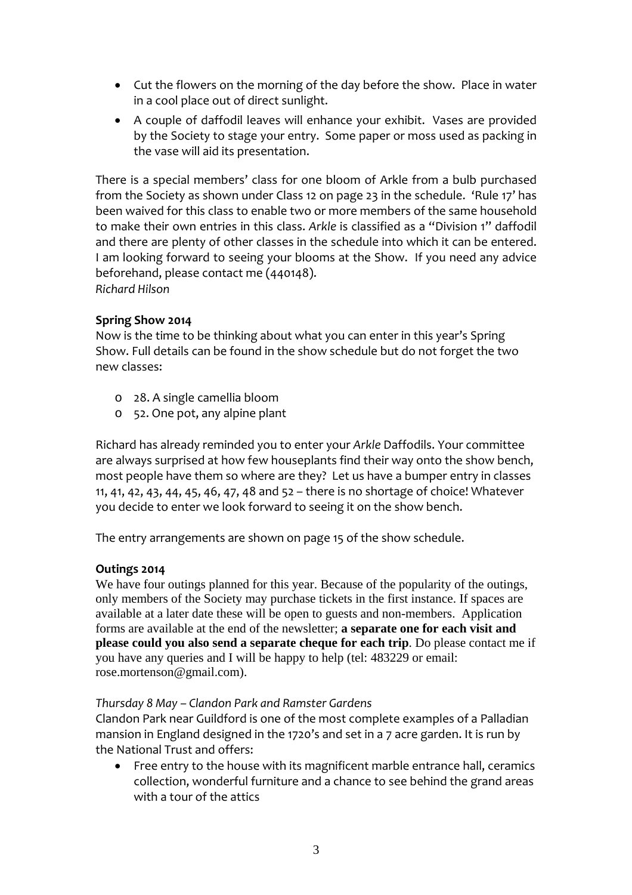- Cut the flowers on the morning of the day before the show. Place in water in a cool place out of direct sunlight.
- A couple of daffodil leaves will enhance your exhibit. Vases are provided by the Society to stage your entry. Some paper or moss used as packing in the vase will aid its presentation.

There is a special members' class for one bloom of Arkle from a bulb purchased from the Society as shown under Class 12 on page 23 in the schedule. 'Rule 17' has been waived for this class to enable two or more members of the same household to make their own entries in this class. *Arkle* is classified as a "Division 1" daffodil and there are plenty of other classes in the schedule into which it can be entered. I am looking forward to seeing your blooms at the Show. If you need any advice beforehand, please contact me (440148).

*Richard Hilson*

### **Spring Show 2014**

Now is the time to be thinking about what you can enter in this year's Spring Show. Full details can be found in the show schedule but do not forget the two new classes:

- o 28. A single camellia bloom
- o 52. One pot, any alpine plant

Richard has already reminded you to enter your *Arkle* Daffodils. Your committee are always surprised at how few houseplants find their way onto the show bench, most people have them so where are they? Let us have a bumper entry in classes 11, 41, 42, 43, 44, 45, 46, 47, 48 and 52 – there is no shortage of choice! Whatever you decide to enter we look forward to seeing it on the show bench.

The entry arrangements are shown on page 15 of the show schedule.

### **Outings 2014**

We have four outings planned for this year. Because of the popularity of the outings, only members of the Society may purchase tickets in the first instance. If spaces are available at a later date these will be open to guests and non-members. Application forms are available at the end of the newsletter; **a separate one for each visit and please could you also send a separate cheque for each trip**. Do please contact me if you have any queries and I will be happy to help (tel: 483229 or email: rose.mortenson@gmail.com).

### *Thursday 8 May – Clandon Park and Ramster Gardens*

Clandon Park near Guildford is one of the most complete examples of a Palladian mansion in England designed in the 1720's and set in a 7 acre garden. It is run by the National Trust and offers:

• Free entry to the house with its magnificent marble entrance hall, ceramics collection, wonderful furniture and a chance to see behind the grand areas with a tour of the attics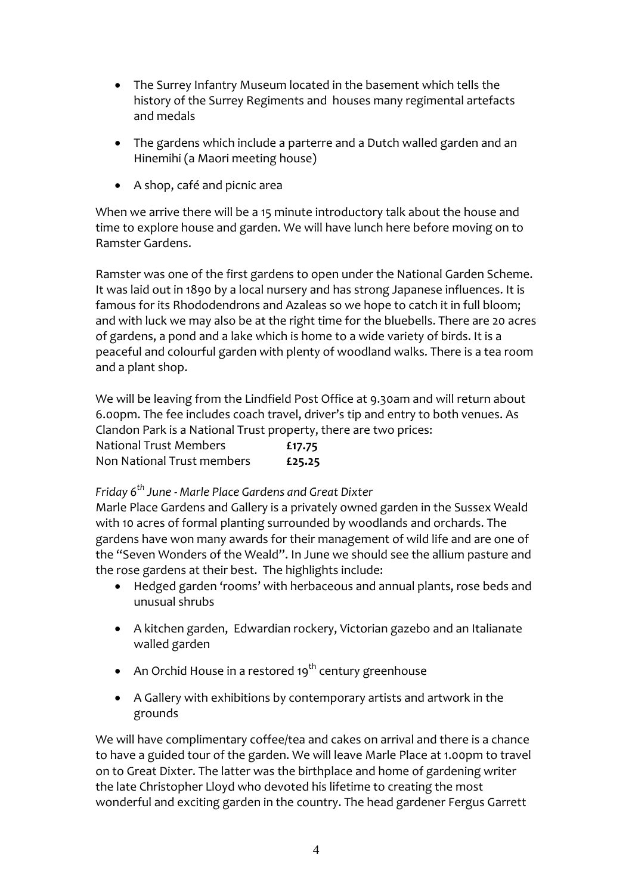- The Surrey Infantry Museum located in the basement which tells the history of the Surrey Regiments and houses many regimental artefacts and medals
- The gardens which include a parterre and a Dutch walled garden and an Hinemihi (a Maori meeting house)
- A shop, café and picnic area

When we arrive there will be a 15 minute introductory talk about the house and time to explore house and garden. We will have lunch here before moving on to Ramster Gardens.

Ramster was one of the first gardens to open under the National Garden Scheme. It was laid out in 1890 by a local nursery and has strong Japanese influences. It is famous for its Rhododendrons and Azaleas so we hope to catch it in full bloom; and with luck we may also be at the right time for the bluebells. There are 20 acres of gardens, a pond and a lake which is home to a wide variety of birds. It is a peaceful and colourful garden with plenty of woodland walks. There is a tea room and a plant shop.

We will be leaving from the Lindfield Post Office at 9.30am and will return about 6.00pm. The fee includes coach travel, driver's tip and entry to both venues. As Clandon Park is a National Trust property, there are two prices: National Trust Members **£17.75** Non National Trust members **£25.25**

### *Friday 6th June ‐ Marle Place Gardens and Great Dixter*

Marle Place Gardens and Gallery is a privately owned garden in the Sussex Weald with 10 acres of formal planting surrounded by woodlands and orchards. The gardens have won many awards for their management of wild life and are one of the "Seven Wonders of the Weald". In June we should see the allium pasture and the rose gardens at their best. The highlights include:

- Hedged garden 'rooms' with herbaceous and annual plants, rose beds and unusual shrubs
- A kitchen garden, Edwardian rockery, Victorian gazebo and an Italianate walled garden
- An Orchid House in a restored 19<sup>th</sup> century greenhouse
- A Gallery with exhibitions by contemporary artists and artwork in the grounds

We will have complimentary coffee/tea and cakes on arrival and there is a chance to have a guided tour of the garden. We will leave Marle Place at 1.00pm to travel on to Great Dixter. The latter was the birthplace and home of gardening writer the late Christopher Lloyd who devoted his lifetime to creating the most wonderful and exciting garden in the country. The head gardener Fergus Garrett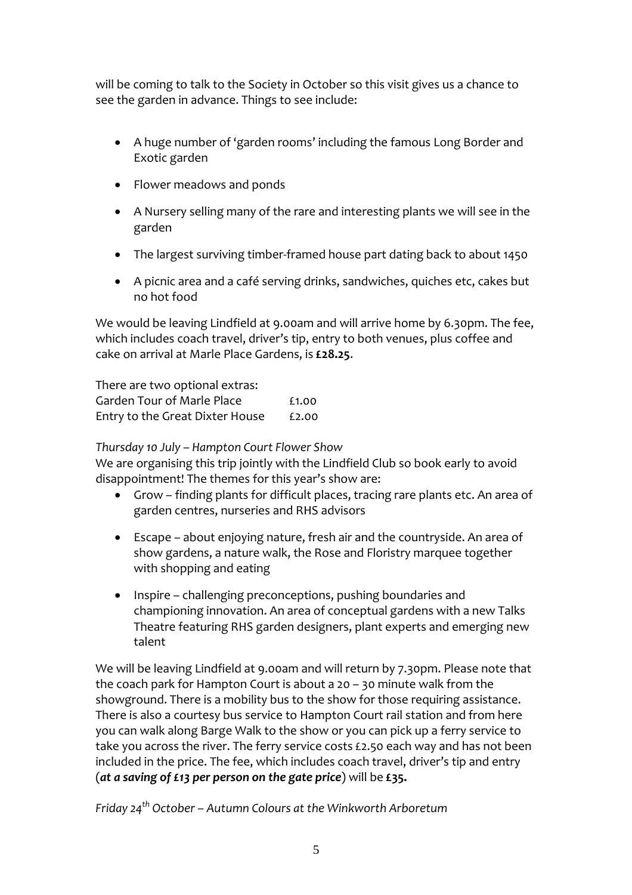will be coming to talk to the Society in October so this visit gives us a chance to see the garden in advance. Things to see include:

- A huge number of 'garden rooms' including the famous Long Border and Exotic garden
- Flower meadows and ponds
- A Nursery selling many of the rare and interesting plants we will see in the garden
- The largest surviving timber-framed house part dating back to about 1450
- A picnic area and a café serving drinks, sandwiches, quiches etc, cakes but no hot food

We would be leaving Lindfield at 9.00am and will arrive home by 6.30pm. The fee, which includes coach travel, driver's tip, entry to both venues, plus coffee and cake on arrival at Marle Place Gardens, is **£28.25**.

There are two optional extras: Garden Tour of Marle Place **E1.00** Entry to the Great Dixter House £2.00

### *Thursday 10 July – Hampton Court Flower Show*

We are organising this trip jointly with the Lindfield Club so book early to avoid disappointment! The themes for this year's show are:

- Grow finding plants for difficult places, tracing rare plants etc. An area of garden centres, nurseries and RHS advisors
- Escape about enjoying nature, fresh air and the countryside. An area of show gardens, a nature walk, the Rose and Floristry marquee together with shopping and eating
- Inspire challenging preconceptions, pushing boundaries and championing innovation. An area of conceptual gardens with a new Talks Theatre featuring RHS garden designers, plant experts and emerging new talent

We will be leaving Lindfield at 9.00am and will return by 7.30pm. Please note that the coach park for Hampton Court is about a 20 – 30 minute walk from the showground. There is a mobility bus to the show for those requiring assistance. There is also a courtesy bus service to Hampton Court rail station and from here you can walk along Barge Walk to the show or you can pick up a ferry service to take you across the river. The ferry service costs £2.50 each way and has not been included in the price. The fee, which includes coach travel, driver's tip and entry (*at a saving of £13 per person on the gate price*) will be **£35.**

*Friday 24th October – Autumn Colours at the Winkworth Arboretum*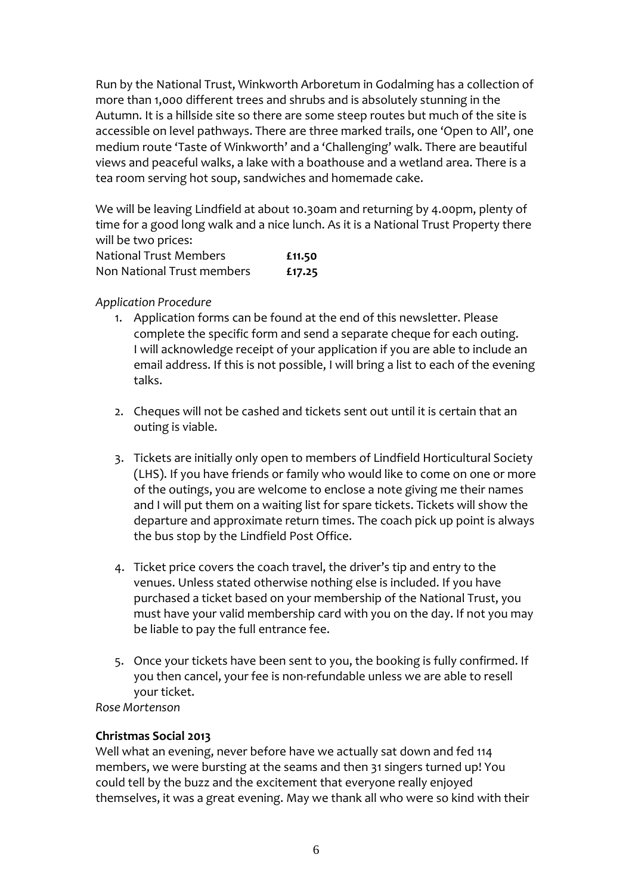Run by the National Trust, Winkworth Arboretum in Godalming has a collection of more than 1,000 different trees and shrubs and is absolutely stunning in the Autumn. It is a hillside site so there are some steep routes but much of the site is accessible on level pathways. There are three marked trails, one 'Open to All', one medium route 'Taste of Winkworth' and a 'Challenging' walk. There are beautiful views and peaceful walks, a lake with a boathouse and a wetland area. There is a tea room serving hot soup, sandwiches and homemade cake.

We will be leaving Lindfield at about 10.30am and returning by 4.00pm, plenty of time for a good long walk and a nice lunch. As it is a National Trust Property there will be two prices:

| National Trust Members     | £11.50 |
|----------------------------|--------|
| Non National Trust members | £17.25 |

### *Application Procedure*

- 1. Application forms can be found at the end of this newsletter. Please complete the specific form and send a separate cheque for each outing. I will acknowledge receipt of your application if you are able to include an email address. If this is not possible, I will bring a list to each of the evening talks.
- 2. Cheques will not be cashed and tickets sent out until it is certain that an outing is viable.
- 3. Tickets are initially only open to members of Lindfield Horticultural Society (LHS). If you have friends or family who would like to come on one or more of the outings, you are welcome to enclose a note giving me their names and I will put them on a waiting list for spare tickets. Tickets will show the departure and approximate return times. The coach pick up point is always the bus stop by the Lindfield Post Office.
- 4. Ticket price covers the coach travel, the driver's tip and entry to the venues. Unless stated otherwise nothing else is included. If you have purchased a ticket based on your membership of the National Trust, you must have your valid membership card with you on the day. If not you may be liable to pay the full entrance fee.
- 5. Once your tickets have been sent to you, the booking is fully confirmed. If you then cancel, your fee is non-refundable unless we are able to resell your ticket.

*Rose Mortenson*

### **Christmas Social 2013**

Well what an evening, never before have we actually sat down and fed 114 members, we were bursting at the seams and then 31 singers turned up! You could tell by the buzz and the excitement that everyone really enjoyed themselves, it was a great evening. May we thank all who were so kind with their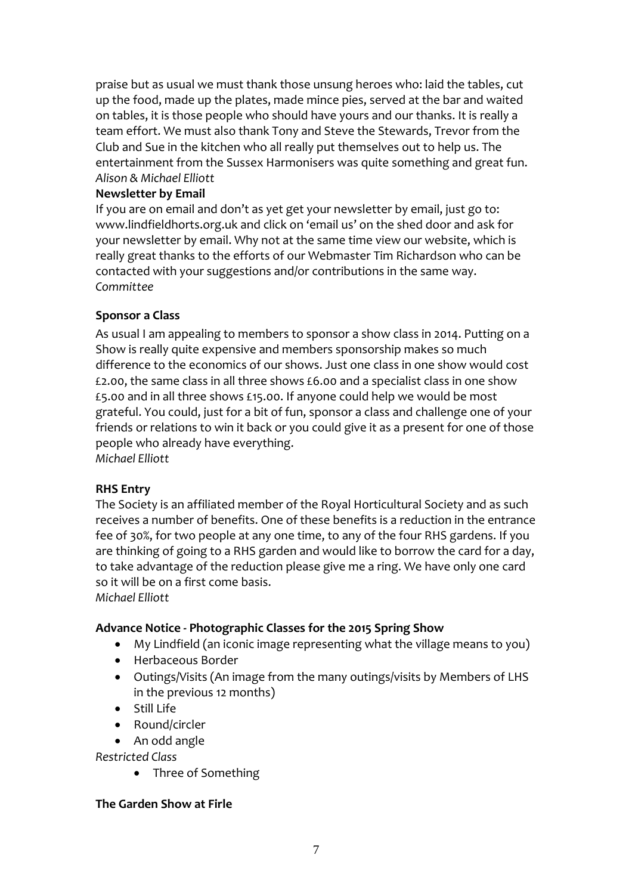praise but as usual we must thank those unsung heroes who: laid the tables, cut up the food, made up the plates, made mince pies, served at the bar and waited on tables, it is those people who should have yours and our thanks. It is really a team effort. We must also thank Tony and Steve the Stewards, Trevor from the Club and Sue in the kitchen who all really put themselves out to help us. The entertainment from the Sussex Harmonisers was quite something and great fun. *Alison & Michael Elliott*

### **Newsletter by Email**

If you are on email and don't as yet get your newsletter by email, just go to: www.lindfieldhorts.org.uk and click on 'email us' on the shed door and ask for your newsletter by email. Why not at the same time view our website, which is really great thanks to the efforts of our Webmaster Tim Richardson who can be contacted with your suggestions and/or contributions in the same way. *Committee*

### **Sponsor a Class**

As usual I am appealing to members to sponsor a show class in 2014. Putting on a Show is really quite expensive and members sponsorship makes so much difference to the economics of our shows. Just one class in one show would cost £2.00, the same class in all three shows £6.00 and a specialist class in one show £5.00 and in all three shows £15.00. If anyone could help we would be most grateful. You could, just for a bit of fun, sponsor a class and challenge one of your friends or relations to win it back or you could give it as a present for one of those people who already have everything. *Michael Elliott*

### **RHS Entry**

The Society is an affiliated member of the Royal Horticultural Society and as such receives a number of benefits. One of these benefits is a reduction in the entrance fee of 30%, for two people at any one time, to any of the four RHS gardens. If you are thinking of going to a RHS garden and would like to borrow the card for a day, to take advantage of the reduction please give me a ring. We have only one card so it will be on a first come basis. *Michael Elliott*

### **Advance Notice ‐ Photographic Classes for the 2015 Spring Show**

- My Lindfield (an iconic image representing what the village means to you)
- Herbaceous Border
- Outings/Visits (An image from the many outings/visits by Members of LHS in the previous 12 months)
- $\bullet$  Still Life
- Round/circler
- An odd angle

*Restricted Class*

• Three of Something

### **The Garden Show at Firle**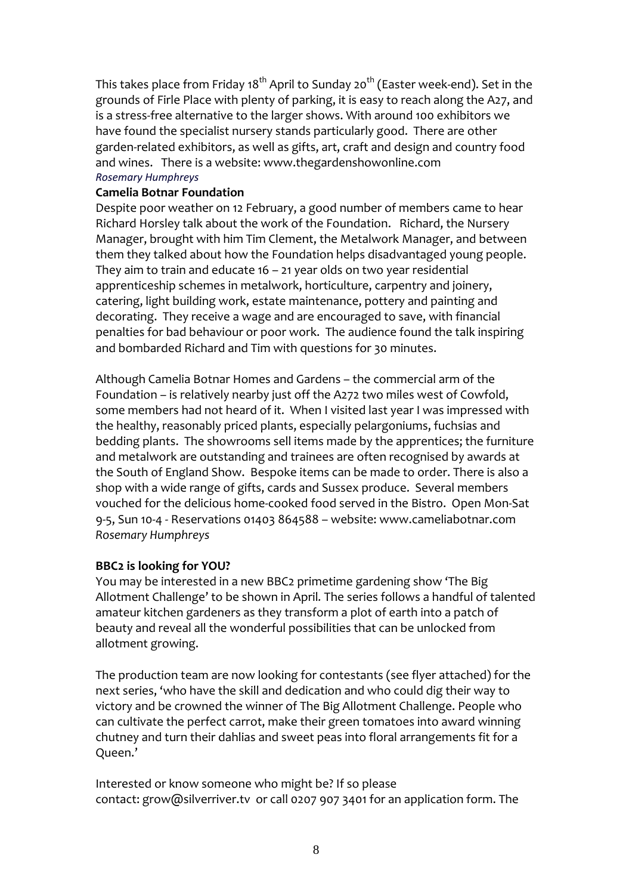This takes place from Friday 18<sup>th</sup> April to Sunday 20<sup>th</sup> (Easter week-end). Set in the grounds of Firle Place with plenty of parking, it is easy to reach along the A27, and is a stress‐free alternative to the larger shows. With around 100 exhibitors we have found the specialist nursery stands particularly good. There are other garden‐related exhibitors, as well as gifts, art, craft and design and country food and wines. There is a website: www.thegardenshowonline.com *Rosemary Humphreys*

### **Camelia Botnar Foundation**

Despite poor weather on 12 February, a good number of members came to hear Richard Horsley talk about the work of the Foundation. Richard, the Nursery Manager, brought with him Tim Clement, the Metalwork Manager, and between them they talked about how the Foundation helps disadvantaged young people. They aim to train and educate 16 – 21 year olds on two year residential apprenticeship schemes in metalwork, horticulture, carpentry and joinery, catering, light building work, estate maintenance, pottery and painting and decorating. They receive a wage and are encouraged to save, with financial penalties for bad behaviour or poor work. The audience found the talk inspiring and bombarded Richard and Tim with questions for 30 minutes.

Although Camelia Botnar Homes and Gardens – the commercial arm of the Foundation – is relatively nearby just off the A272 two miles west of Cowfold, some members had not heard of it. When I visited last year I was impressed with the healthy, reasonably priced plants, especially pelargoniums, fuchsias and bedding plants. The showrooms sell items made by the apprentices; the furniture and metalwork are outstanding and trainees are often recognised by awards at the South of England Show. Bespoke items can be made to order. There is also a shop with a wide range of gifts, cards and Sussex produce. Several members vouched for the delicious home‐cooked food served in the Bistro. Open Mon‐Sat 9‐5, Sun 10‐4 ‐ Reservations 01403 864588 – website: www.cameliabotnar.com *Rosemary Humphreys*

### **BBC2 is looking for YOU?**

You may be interested in a new BBC2 primetime gardening show 'The Big Allotment Challenge' to be shown in April*.* The series follows a handful of talented amateur kitchen gardeners as they transform a plot of earth into a patch of beauty and reveal all the wonderful possibilities that can be unlocked from allotment growing.

The production team are now looking for contestants (see flyer attached) for the next series, 'who have the skill and dedication and who could dig their way to victory and be crowned the winner of The Big Allotment Challenge. People who can cultivate the perfect carrot, make their green tomatoes into award winning chutney and turn their dahlias and sweet peas into floral arrangements fit for a Queen.'

Interested or know someone who might be? If so please contact: grow@silverriver.tv or call 0207 907 3401 for an application form. The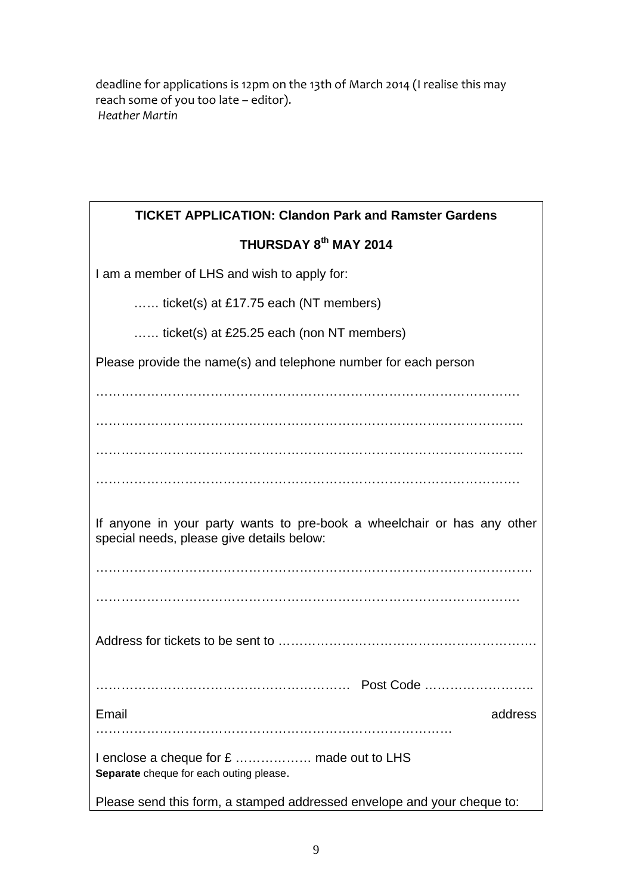deadline for applications is 12pm on the 13th of March 2014 (I realise this may reach some of you too late – editor). *Heather Martin*

| <b>TICKET APPLICATION: Clandon Park and Ramster Gardens</b>                                                          |  |  |  |
|----------------------------------------------------------------------------------------------------------------------|--|--|--|
| THURSDAY 8 <sup>th</sup> MAY 2014                                                                                    |  |  |  |
| I am a member of LHS and wish to apply for:                                                                          |  |  |  |
| ticket(s) at £17.75 each (NT members)                                                                                |  |  |  |
| ticket(s) at £25.25 each (non NT members)                                                                            |  |  |  |
| Please provide the name(s) and telephone number for each person                                                      |  |  |  |
|                                                                                                                      |  |  |  |
|                                                                                                                      |  |  |  |
|                                                                                                                      |  |  |  |
| .                                                                                                                    |  |  |  |
| If anyone in your party wants to pre-book a wheelchair or has any other<br>special needs, please give details below: |  |  |  |
|                                                                                                                      |  |  |  |
|                                                                                                                      |  |  |  |
|                                                                                                                      |  |  |  |
|                                                                                                                      |  |  |  |
| Email<br>address                                                                                                     |  |  |  |
|                                                                                                                      |  |  |  |
| Separate cheque for each outing please.                                                                              |  |  |  |
| Please send this form, a stamped addressed envelope and your cheque to:                                              |  |  |  |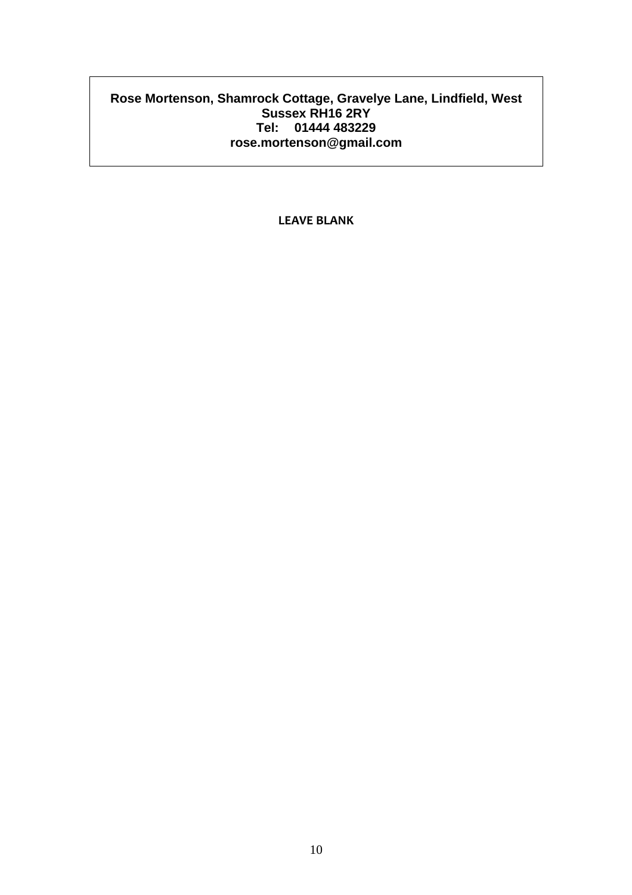### **Rose Mortenson, Shamrock Cottage, Gravelye Lane, Lindfield, West Sussex RH16 2RY Tel: 01444 483229 rose.mortenson@gmail.com**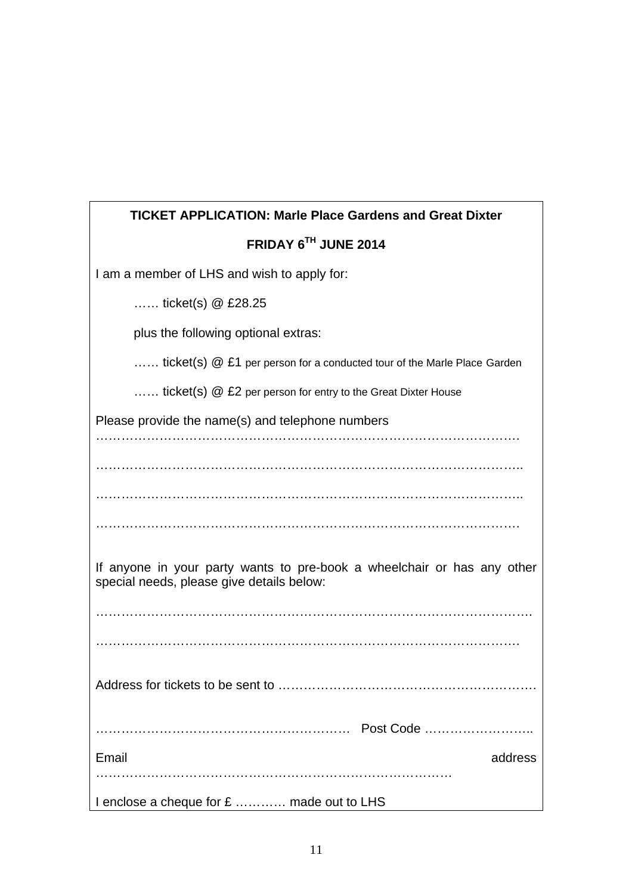| <b>TICKET APPLICATION: Marle Place Gardens and Great Dixter</b>                                                      |
|----------------------------------------------------------------------------------------------------------------------|
| FRIDAY 6TH JUNE 2014                                                                                                 |
| I am a member of LHS and wish to apply for:                                                                          |
| ticket(s) $@E28.25$                                                                                                  |
| plus the following optional extras:                                                                                  |
| ticket(s) @ £1 per person for a conducted tour of the Marle Place Garden                                             |
| ticket(s) @ £2 per person for entry to the Great Dixter House                                                        |
| Please provide the name(s) and telephone numbers                                                                     |
|                                                                                                                      |
|                                                                                                                      |
|                                                                                                                      |
|                                                                                                                      |
| If anyone in your party wants to pre-book a wheelchair or has any other<br>special needs, please give details below: |
|                                                                                                                      |
|                                                                                                                      |
| Address for tickets to be sent to                                                                                    |
|                                                                                                                      |
| Email<br>address                                                                                                     |
| I enclose a cheque for £  made out to LHS                                                                            |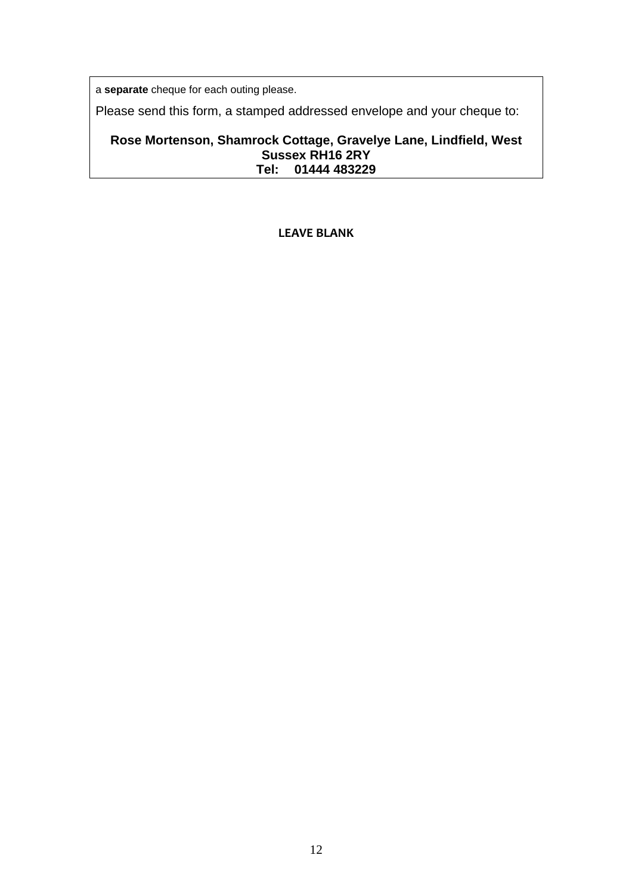a **separate** cheque for each outing please.

Please send this form, a stamped addressed envelope and your cheque to:

### **Rose Mortenson, Shamrock Cottage, Gravelye Lane, Lindfield, West Sussex RH16 2RY Tel: 01444 483229**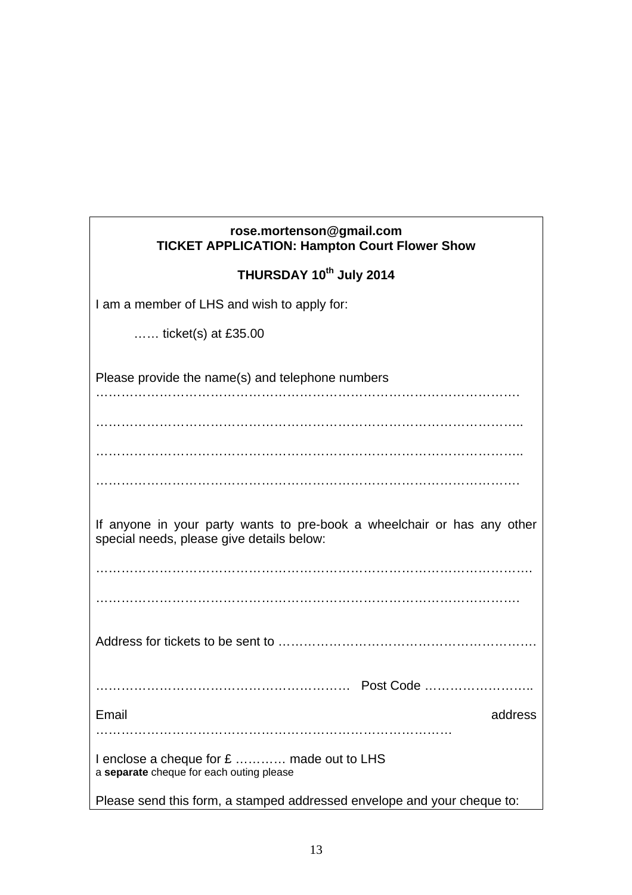| rose.mortenson@gmail.com<br><b>TICKET APPLICATION: Hampton Court Flower Show</b>                                     |  |  |
|----------------------------------------------------------------------------------------------------------------------|--|--|
| THURSDAY 10th July 2014                                                                                              |  |  |
| I am a member of LHS and wish to apply for:                                                                          |  |  |
| $\ldots$ ticket(s) at £35.00                                                                                         |  |  |
| Please provide the name(s) and telephone numbers                                                                     |  |  |
|                                                                                                                      |  |  |
|                                                                                                                      |  |  |
|                                                                                                                      |  |  |
| If anyone in your party wants to pre-book a wheelchair or has any other<br>special needs, please give details below: |  |  |
|                                                                                                                      |  |  |
|                                                                                                                      |  |  |
|                                                                                                                      |  |  |
|                                                                                                                      |  |  |
| Email<br>address                                                                                                     |  |  |
| I enclose a cheque for £  made out to LHS<br>a separate cheque for each outing please                                |  |  |
| Please send this form, a stamped addressed envelope and your cheque to:                                              |  |  |

13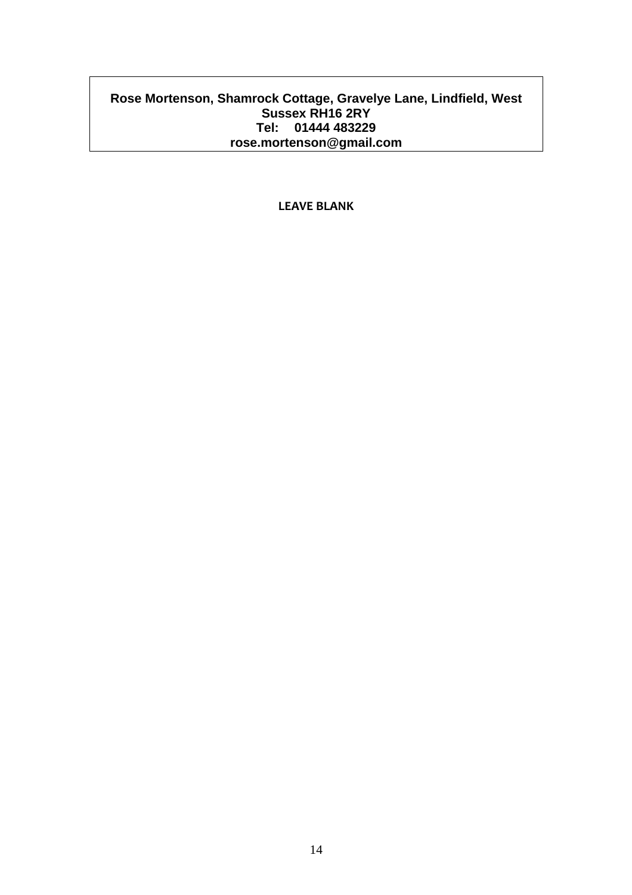### **Rose Mortenson, Shamrock Cottage, Gravelye Lane, Lindfield, West Sussex RH16 2RY Tel: 01444 483229 rose.mortenson@gmail.com**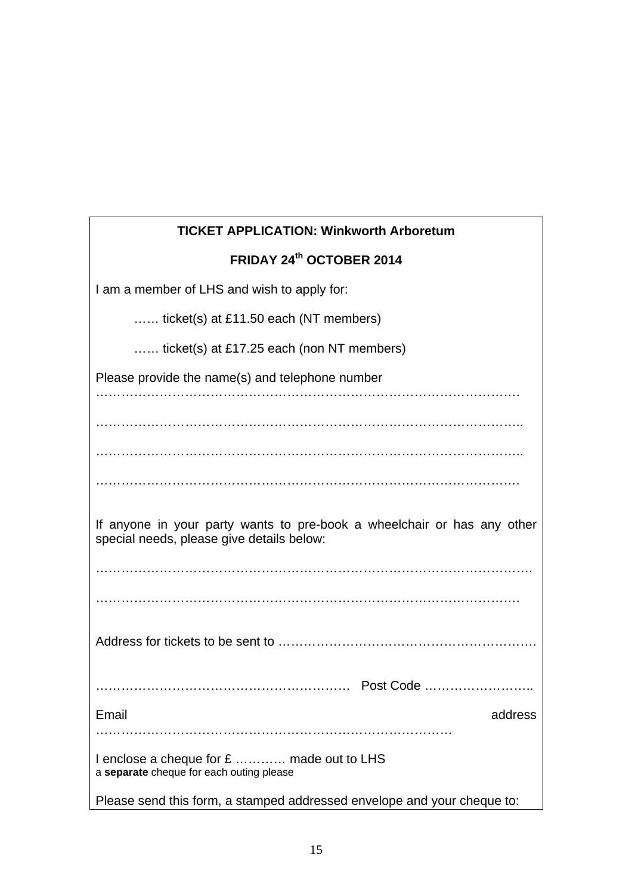| <b>TICKET APPLICATION: Winkworth Arboretum</b>                                                                       |
|----------------------------------------------------------------------------------------------------------------------|
| FRIDAY 24th OCTOBER 2014                                                                                             |
| I am a member of LHS and wish to apply for:                                                                          |
| ticket(s) at £11.50 each (NT members)                                                                                |
| ticket(s) at £17.25 each (non NT members)                                                                            |
| Please provide the name(s) and telephone number                                                                      |
|                                                                                                                      |
|                                                                                                                      |
|                                                                                                                      |
|                                                                                                                      |
| If anyone in your party wants to pre-book a wheelchair or has any other<br>special needs, please give details below: |
|                                                                                                                      |
|                                                                                                                      |
|                                                                                                                      |
| Post Code                                                                                                            |
| Email<br>address                                                                                                     |
|                                                                                                                      |
| I enclose a cheque for £  made out to LHS<br>a separate cheque for each outing please                                |
| Please send this form, a stamped addressed envelope and your cheque to:                                              |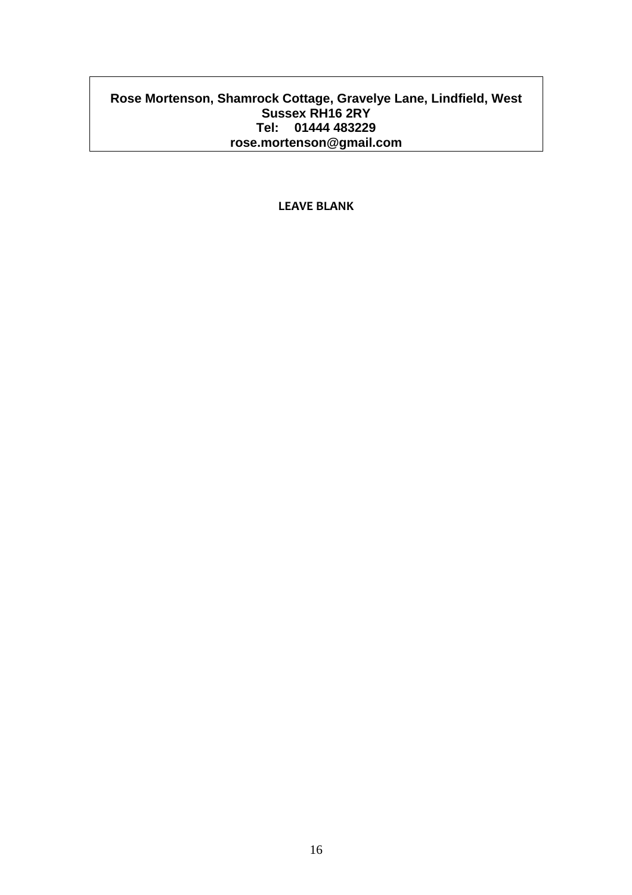### **Rose Mortenson, Shamrock Cottage, Gravelye Lane, Lindfield, West Sussex RH16 2RY Tel: 01444 483229 rose.mortenson@gmail.com**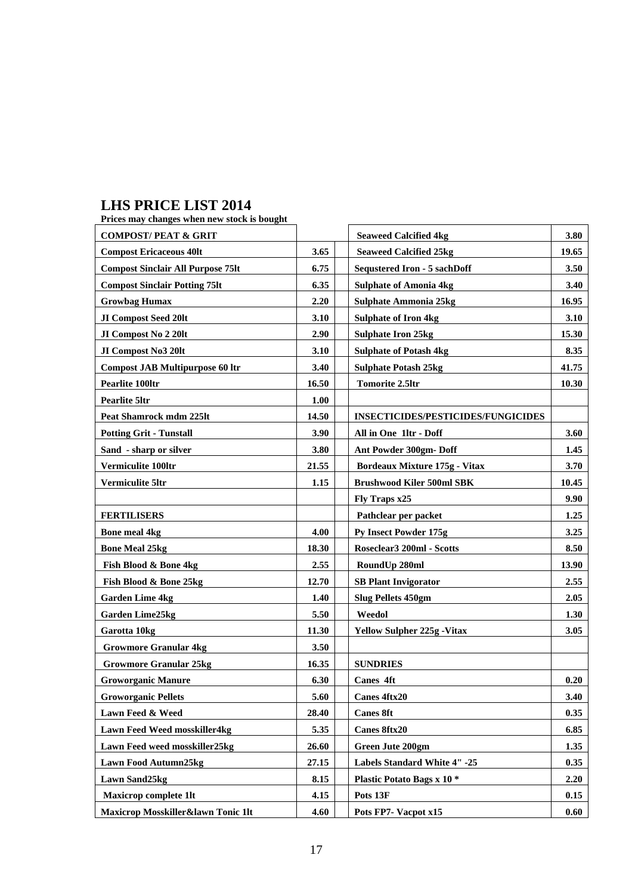### **LHS PRICE LIST 2014**

| Prices may changes when new stock is bought |       |                                           |       |
|---------------------------------------------|-------|-------------------------------------------|-------|
| <b>COMPOST/PEAT &amp; GRIT</b>              |       | <b>Seaweed Calcified 4kg</b>              | 3.80  |
| <b>Compost Ericaceous 40lt</b>              | 3.65  | <b>Seaweed Calcified 25kg</b>             | 19.65 |
| <b>Compost Sinclair All Purpose 75lt</b>    | 6.75  | <b>Sequstered Iron - 5 sachDoff</b>       | 3.50  |
| <b>Compost Sinclair Potting 75lt</b>        | 6.35  | <b>Sulphate of Amonia 4kg</b>             | 3.40  |
| <b>Growbag Humax</b>                        | 2.20  | <b>Sulphate Ammonia 25kg</b>              | 16.95 |
| JI Compost Seed 201t                        | 3.10  | <b>Sulphate of Iron 4kg</b>               | 3.10  |
| JI Compost No 2 201t                        | 2.90  | <b>Sulphate Iron 25kg</b>                 | 15.30 |
| JI Compost No3 20lt                         | 3.10  | <b>Sulphate of Potash 4kg</b>             | 8.35  |
| <b>Compost JAB Multipurpose 60 ltr</b>      | 3.40  | <b>Sulphate Potash 25kg</b>               | 41.75 |
| <b>Pearlite 100ltr</b>                      | 16.50 | <b>Tomorite 2.5ltr</b>                    | 10.30 |
| <b>Pearlite 5ltr</b>                        | 1.00  |                                           |       |
| Peat Shamrock mdm 225lt                     | 14.50 | <b>INSECTICIDES/PESTICIDES/FUNGICIDES</b> |       |
| <b>Potting Grit - Tunstall</b>              | 3.90  | All in One 1ltr - Doff                    | 3.60  |
| Sand - sharp or silver                      | 3.80  | Ant Powder 300gm-Doff                     | 1.45  |
| Vermiculite 100ltr                          | 21.55 | Bordeaux Mixture 175g - Vitax             | 3.70  |
| <b>Vermiculite 5ltr</b>                     | 1.15  | <b>Brushwood Kiler 500ml SBK</b>          | 10.45 |
|                                             |       | Fly Traps x25                             | 9.90  |
| <b>FERTILISERS</b>                          |       | Pathclear per packet                      | 1.25  |
| <b>Bone meal 4kg</b>                        | 4.00  | Py Insect Powder 175g                     | 3.25  |
| <b>Bone Meal 25kg</b>                       | 18.30 | Roseclear3 200ml - Scotts                 | 8.50  |
| Fish Blood & Bone 4kg                       | 2.55  | RoundUp 280ml                             | 13.90 |
| Fish Blood & Bone 25kg                      | 12.70 | <b>SB Plant Invigorator</b>               | 2.55  |
| <b>Garden Lime 4kg</b>                      | 1.40  | <b>Slug Pellets 450gm</b>                 | 2.05  |
| <b>Garden Lime25kg</b>                      | 5.50  | Weedol                                    | 1.30  |
| Garotta 10kg                                | 11.30 | <b>Yellow Sulpher 225g - Vitax</b>        | 3.05  |
| <b>Growmore Granular 4kg</b>                | 3.50  |                                           |       |
| <b>Growmore Granular 25kg</b>               | 16.35 | <b>SUNDRIES</b>                           |       |
| <b>Groworganic Manure</b>                   | 6.30  | <b>Canes 4ft</b>                          | 0.20  |
| <b>Groworganic Pellets</b>                  | 5.60  | Canes 4ftx20                              | 3.40  |
| Lawn Feed & Weed                            | 28.40 | <b>Canes 8ft</b>                          | 0.35  |
| Lawn Feed Weed mosskiller4kg                | 5.35  | <b>Canes 8ftx20</b>                       | 6.85  |
| Lawn Feed weed mosskiller25kg               | 26.60 | <b>Green Jute 200gm</b>                   | 1.35  |
| <b>Lawn Food Autumn25kg</b>                 | 27.15 | Labels Standard White 4" -25              | 0.35  |
| <b>Lawn Sand25kg</b>                        | 8.15  | <b>Plastic Potato Bags x 10 *</b>         | 2.20  |
| <b>Maxicrop complete 1lt</b>                | 4.15  | Pots 13F                                  | 0.15  |
| Maxicrop Mosskiller&lawn Tonic 1lt          | 4.60  | Pots FP7- Vacpot x15                      | 0.60  |